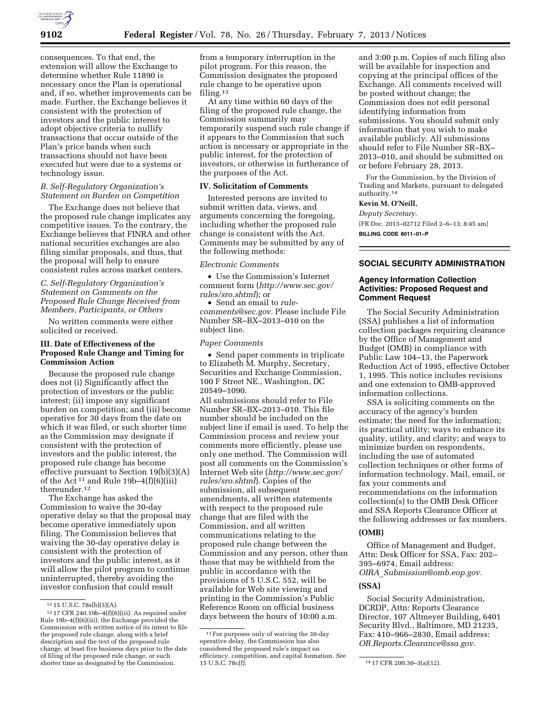

consequences. To that end, the extension will allow the Exchange to determine whether Rule 11890 is necessary once the Plan is operational and, if so, whether improvements can be made. Further, the Exchange believes it consistent with the protection of investors and the public interest to adopt objective criteria to nullify transactions that occur outside of the Plan's price bands when such transactions should not have been executed but were due to a systems or technology issue.

### *B. Self-Regulatory Organization's Statement on Burden on Competition*

The Exchange does not believe that the proposed rule change implicates any competitive issues. To the contrary, the Exchange believes that FINRA and other national securities exchanges are also filing similar proposals, and thus, that the proposal will help to ensure consistent rules across market centers.

# *C. Self-Regulatory Organization's Statement on Comments on the Proposed Rule Change Received from Members, Participants, or Others*

No written comments were either solicited or received.

## **III. Date of Effectiveness of the Proposed Rule Change and Timing for Commission Action**

Because the proposed rule change does not (i) Significantly affect the protection of investors or the public interest; (ii) impose any significant burden on competition; and (iii) become operative for 30 days from the date on which it was filed, or such shorter time as the Commission may designate if consistent with the protection of investors and the public interest, the proposed rule change has become effective pursuant to Section 19(b)(3)(A) of the Act<sup>11</sup> and Rule 19b-4(f)(6)(iii) thereunder.<sup>12</sup>

The Exchange has asked the Commission to waive the 30-day operative delay so that the proposal may become operative immediately upon filing. The Commission believes that waiving the 30-day operative delay is consistent with the protection of investors and the public interest, as it will allow the pilot program to continue uninterrupted, thereby avoiding the investor confusion that could result

from a temporary interruption in the pilot program. For this reason, the Commission designates the proposed rule change to be operative upon filing.13

At any time within 60 days of the filing of the proposed rule change, the Commission summarily may temporarily suspend such rule change if it appears to the Commission that such action is necessary or appropriate in the public interest, for the protection of investors, or otherwise in furtherance of the purposes of the Act.

### **IV. Solicitation of Comments**

Interested persons are invited to submit written data, views, and arguments concerning the foregoing, including whether the proposed rule change is consistent with the Act. Comments may be submitted by any of the following methods:

#### *Electronic Comments*

• Use the Commission's Internet comment form (*[http://www.sec.gov/](http://www.sec.gov/rules/sro.shtml)  [rules/sro.shtml](http://www.sec.gov/rules/sro.shtml)*); or

• Send an email to *[rule](mailto:rule-comments@sec.gov)[comments@sec.gov.](mailto:rule-comments@sec.gov)* Please include File Number SR–BX–2013–010 on the subject line.

#### *Paper Comments*

• Send paper comments in triplicate to Elizabeth M. Murphy, Secretary, Securities and Exchange Commission, 100 F Street NE., Washington, DC 20549–1090.

All submissions should refer to File Number SR–BX–2013–010. This file number should be included on the subject line if email is used. To help the Commission process and review your comments more efficiently, please use only one method. The Commission will post all comments on the Commission's Internet Web site (*[http://www.sec.gov/](http://www.sec.gov/rules/sro.shtml)  [rules/sro.shtml](http://www.sec.gov/rules/sro.shtml)*). Copies of the submission, all subsequent amendments, all written statements with respect to the proposed rule change that are filed with the Commission, and all written communications relating to the proposed rule change between the Commission and any person, other than those that may be withheld from the public in accordance with the provisions of 5 U.S.C. 552, will be available for Web site viewing and printing in the Commission's Public Reference Room on official business days between the hours of 10:00 a.m.

and 3:00 p.m. Copies of such filing also will be available for inspection and copying at the principal offices of the Exchange. All comments received will be posted without change; the Commission does not edit personal identifying information from submissions. You should submit only information that you wish to make available publicly. All submissions should refer to File Number SR–BX– 2013–010, and should be submitted on or before February 28, 2013.

For the Commission, by the Division of Trading and Markets, pursuant to delegated authority.14

#### **Kevin M. O'Neill,**

*Deputy Secretary.*  [FR Doc. 2013–02712 Filed 2–6–13; 8:45 am] **BILLING CODE 8011–01–P** 

## **SOCIAL SECURITY ADMINISTRATION**

### **Agency Information Collection Activities: Proposed Request and Comment Request**

The Social Security Administration (SSA) publishes a list of information collection packages requiring clearance by the Office of Management and Budget (OMB) in compliance with Public Law 104–13, the Paperwork Reduction Act of 1995, effective October 1, 1995. This notice includes revisions and one extension to OMB-approved information collections.

SSA is soliciting comments on the accuracy of the agency's burden estimate; the need for the information; its practical utility; ways to enhance its quality, utility, and clarity; and ways to minimize burden on respondents, including the use of automated collection techniques or other forms of information technology. Mail, email, or fax your comments and recommendations on the information collection(s) to the OMB Desk Officer and SSA Reports Clearance Officer at the following addresses or fax numbers.

# **(OMB)**

Office of Management and Budget, Attn: Desk Officer for SSA, Fax: 202– 395–6974, Email address: *OIRA*\_*[Submission@omb.eop.gov.](mailto:OIRA_Submission@omb.eop.gov)* 

#### **(SSA)**

Social Security Administration, DCRDP, Attn: Reports Clearance Director, 107 Altmeyer Building, 6401 Security Blvd., Baltimore, MD 21235, Fax: 410–966–2830, Email address: *[OR.Reports.Clearance@ssa.gov.](mailto:OR.Reports.Clearance@ssa.gov)* 

 $11$  15 U.S.C. 78s(b)(3)(A).

 $12$  17 CFR 240.19b-4(f)(6)(iii). As required under Rule 19b–4(f)(6)(iii), the Exchange provided the Commission with written notice of its intent to file the proposed rule change, along with a brief description and the text of the proposed rule change, at least five business days prior to the date of filing of the proposed rule change, or such shorter time as designated by the Commission.

<sup>13</sup>For purposes only of waiving the 30-day operative delay, the Commission has also considered the proposed rule's impact on efficiency, competition, and capital formation. *See* 

<sup>14 17</sup> CFR 200.30-3(a)(12).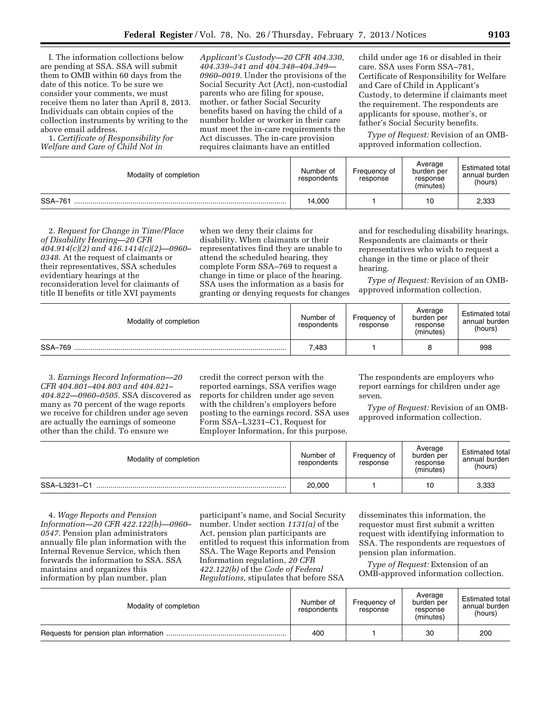I. The information collections below are pending at SSA. SSA will submit them to OMB within 60 days from the date of this notice. To be sure we consider your comments, we must receive them no later than April 8, 2013. Individuals can obtain copies of the collection instruments by writing to the above email address.

1. *Certificate of Responsibility for Welfare and Care of Child Not in* 

*Applicant's Custody—20 CFR 404.330, 404.339–341 and 404.348–404.349— 0960–0019.* Under the provisions of the Social Security Act (Act), non-custodial parents who are filing for spouse, mother, or father Social Security benefits based on having the child of a number holder or worker in their care must meet the in-care requirements the Act discusses. The in-care provision requires claimants have an entitled

child under age 16 or disabled in their care. SSA uses Form SSA–781, Certificate of Responsibility for Welfare and Care of Child in Applicant's Custody, to determine if claimants meet the requirement. The respondents are applicants for spouse, mother's, or father's Social Security benefits.

*Type of Request:* Revision of an OMBapproved information collection.

| Modality of completion | Number of<br>respondents | Frequency of<br>response | Average<br>burden per<br>response<br>(minutes) | <b>Estimated total</b><br>annual burden<br>(hours) |
|------------------------|--------------------------|--------------------------|------------------------------------------------|----------------------------------------------------|
| SSA-761                | 14.000                   |                          | 10                                             | 2,333                                              |

2. *Request for Change in Time/Place of Disability Hearing—20 CFR 404.914(c)(2) and 416.1414(c)(2)—0960– 0348.* At the request of claimants or their representatives, SSA schedules evidentiary hearings at the reconsideration level for claimants of title II benefits or title XVI payments

when we deny their claims for disability. When claimants or their representatives find they are unable to attend the scheduled hearing, they complete Form SSA–769 to request a change in time or place of the hearing. SSA uses the information as a basis for granting or denying requests for changes

and for rescheduling disability hearings. Respondents are claimants or their representatives who wish to request a change in the time or place of their hearing.

*Type of Request:* Revision of an OMBapproved information collection.

| Modality of completion | Number of<br>respondents | Frequency of<br>response | Average<br>burden per<br>response<br>(minutes) | <b>Estimated total</b><br>annual burden<br>(hours) |
|------------------------|--------------------------|--------------------------|------------------------------------------------|----------------------------------------------------|
| SSA-769                | 7,483                    |                          |                                                | 998                                                |

3. *Earnings Record Information—20 CFR 404.801–404.803 and 404.821– 404.822—0960–0505.* SSA discovered as many as 70 percent of the wage reports we receive for children under age seven are actually the earnings of someone other than the child. To ensure we

credit the correct person with the reported earnings, SSA verifies wage reports for children under age seven with the children's employers before posting to the earnings record. SSA uses Form SSA–L3231–C1, Request for Employer Information, for this purpose.

The respondents are employers who report earnings for children under age seven.

*Type of Request:* Revision of an OMBapproved information collection.

| Modality of completion | Number of<br>respondents | Frequency of<br>response | Average<br>burden per<br>response<br>(minutes) | <b>Estimated total</b><br>annual burden<br>(hours) |
|------------------------|--------------------------|--------------------------|------------------------------------------------|----------------------------------------------------|
| SSA-L3231-C1           | 20,000                   |                          | 10                                             | 3,333                                              |

4. *Wage Reports and Pension Information—20 CFR 422.122(b)—0960– 0547.* Pension plan administrators annually file plan information with the Internal Revenue Service, which then forwards the information to SSA. SSA maintains and organizes this information by plan number, plan

participant's name, and Social Security number. Under section *1131(a)* of the Act, pension plan participants are entitled to request this information from SSA. The Wage Reports and Pension Information regulation, *20 CFR 422.122(b)* of the *Code of Federal Regulations,* stipulates that before SSA

disseminates this information, the requestor must first submit a written request with identifying information to SSA. The respondents are requestors of pension plan information.

*Type of Request:* Extension of an OMB-approved information collection.

| Modality of completion | Number of<br>respondents | Frequency of<br>response | Average<br>burden per<br>response<br>(minutes) | <b>Estimated total</b><br>annual burden<br>(hours) |
|------------------------|--------------------------|--------------------------|------------------------------------------------|----------------------------------------------------|
|                        | 400                      |                          | 30                                             | 200                                                |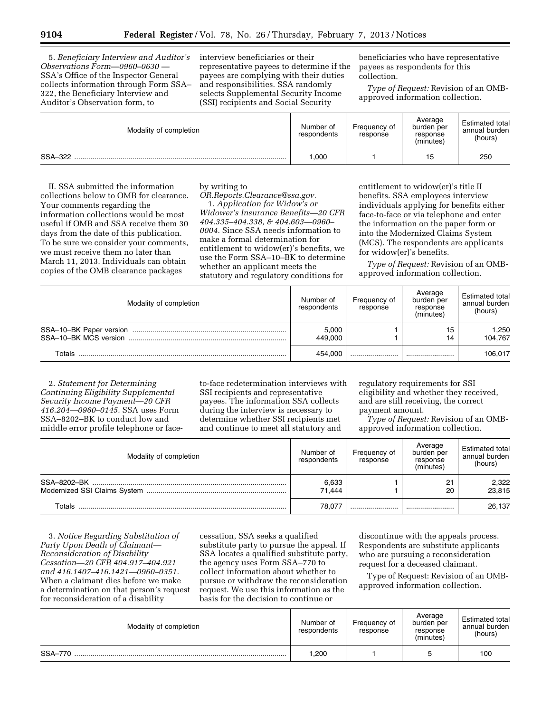5. *Beneficiary Interview and Auditor's Observations Form—0960–0630 —*  SSA's Office of the Inspector General collects information through Form SSA– 322, the Beneficiary Interview and Auditor's Observation form, to

interview beneficiaries or their representative payees to determine if the payees are complying with their duties and responsibilities. SSA randomly selects Supplemental Security Income (SSI) recipients and Social Security

beneficiaries who have representative payees as respondents for this collection.

*Type of Request:* Revision of an OMBapproved information collection.

| Modality of completion | Number of<br>respondents | Frequency of<br>response | Average<br>burden per<br>response<br>(minutes) | <b>Estimated total</b><br>annual burden<br>(hours) |
|------------------------|--------------------------|--------------------------|------------------------------------------------|----------------------------------------------------|
| SSA-322                | .000                     |                          | 15                                             | 250                                                |

II. SSA submitted the information collections below to OMB for clearance. Your comments regarding the information collections would be most useful if OMB and SSA receive them 30 days from the date of this publication. To be sure we consider your comments, we must receive them no later than March 11, 2013. Individuals can obtain copies of the OMB clearance packages

## by writing to

*[OR.Reports.Clearance@ssa.gov.](mailto:OR.Reports.Clearance@ssa.gov)*  1. *Application for Widow's or Widower's Insurance Benefits—20 CFR 404.335–404.338, & 404.603—0960– 0004.* Since SSA needs information to make a formal determination for entitlement to widow(er)'s benefits, we use the Form SSA–10–BK to determine whether an applicant meets the statutory and regulatory conditions for

entitlement to widow(er)'s title II benefits. SSA employees interview individuals applying for benefits either face-to-face or via telephone and enter the information on the paper form or into the Modernized Claims System (MCS). The respondents are applicants for widow(er)'s benefits.

*Type of Request:* Revision of an OMBapproved information collection.

| Modality of completion | Number of<br>respondents | Frequency of<br>response | Average<br>burden per<br>response<br>(minutes) | Estimated total<br>annual burden<br>(hours) |
|------------------------|--------------------------|--------------------------|------------------------------------------------|---------------------------------------------|
|                        | 5,000<br>449.000         |                          | 15<br>14                                       | 1.250<br>104.767                            |
| Totals                 | 454.000                  |                          |                                                | 106.017                                     |

2. *Statement for Determining Continuing Eligibility Supplemental Security Income Payment—20 CFR 416.204—0960–0145.* SSA uses Form SSA–8202–BK to conduct low and middle error profile telephone or faceto-face redetermination interviews with SSI recipients and representative payees. The information SSA collects during the interview is necessary to determine whether SSI recipients met and continue to meet all statutory and

regulatory requirements for SSI eligibility and whether they received, and are still receiving, the correct payment amount.

*Type of Request:* Revision of an OMBapproved information collection.

| Modality of completion | Number of<br>respondents | Frequency of<br>response | Average<br>burden per<br>response<br>(minutes) | Estimated total<br>annual burden<br>(hours) |
|------------------------|--------------------------|--------------------------|------------------------------------------------|---------------------------------------------|
| SSA-8202-BK            | 6,633<br>71.444          |                          | O <sub>1</sub><br>20                           | 2,322<br>23.815                             |
| Totals                 | 78.077                   |                          |                                                | 26.137                                      |

3. *Notice Regarding Substitution of Party Upon Death of Claimant— Reconsideration of Disability Cessation—20 CFR 404.917–404.921 and 416.1407–416.1421—0960–0351.*  When a claimant dies before we make a determination on that person's request for reconsideration of a disability

cessation, SSA seeks a qualified substitute party to pursue the appeal. If SSA locates a qualified substitute party, the agency uses Form SSA–770 to collect information about whether to pursue or withdraw the reconsideration request. We use this information as the basis for the decision to continue or

discontinue with the appeals process. Respondents are substitute applicants who are pursuing a reconsideration request for a deceased claimant.

Type of Request: Revision of an OMBapproved information collection.

| Modality of completion | Number of<br>respondents | Frequency of<br>response | Average<br>burden per<br>response<br>(minutes) | <b>Estimated total</b><br>annual burden<br>(hours) |
|------------------------|--------------------------|--------------------------|------------------------------------------------|----------------------------------------------------|
| SSA-770                | 1.200                    |                          |                                                | 100                                                |